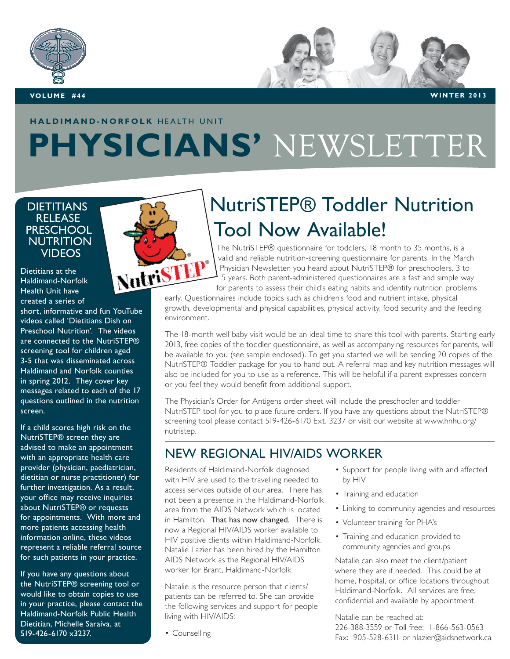



**Volum e #44 WINTER 2013**

## **haldimand-norfolk** HEALTH UNIT **PHYSICIANS'** NEWSLETTER

#### **DIETITIANS RELEASE PRESCHOOL NUTRITION VIDEOS**

Dietitians at the Haldimand-Norfolk Health Unit have created a series of

short, informative and fun YouTube videos called 'Dietitians Dish on Preschool Nutrition'. The videos are connected to the NutriSTEP® screening tool for children aged 3-5 that was disseminated across Haldimand and Norfolk counties in spring 2012. They cover key messages related to each of the 17 questions outlined in the nutrition screen.

If a child scores high risk on the NutriSTEP® screen they are advised to make an appointment with an appropriate health care provider (physician, paediatrician, dietitian or nurse practitioner) for further investigation. As a result, your office may receive inquiries about NutriSTEP® or requests for appointments. With more and more patients accessing health information online, these videos represent a reliable referral source for such patients in your practice.

If you have any questions about the NutriSTEP® screening tool or would like to obtain copies to use in your practice, please contact the Haldimand-Norfolk Public Health Dietitian, Michelle Saraiva, at 519-426-6170 x3237.



# NutriSTEP® Toddler Nutrition Tool Now Available!

The NutriSTEP® questionnaire for toddlers, 18 month to 35 months, is a valid and reliable nutrition-screening questionnaire for parents. In the March Physician Newsletter, you heard about NutriSTEP® for preschoolers, 3 to 5 years. Both parent-administered questionnaires are a fast and simple way for parents to assess their child's eating habits and identify nutrition problems examing questionnaire for parents. In the M<br>Bearly. Questionnaires are a fast and simple<br>for parents to assess their child's eating habits and identify nutrition prob<br>early. Questionnaires include topics such as children's

growth, developmental and physical capabilities, physical activity, food security and the feeding environment.

The 18-month well baby visit would be an ideal time to share this tool with parents. Starting early 2013, free copies of the toddler questionnaire, as well as accompanying resources for parents, will be available to you (see sample enclosed). To get you started we will be sending 20 copies of the NutriSTEP® Toddler package for you to hand out. A referral map and key nutrition messages will also be included for you to use as a reference. This will be helpful if a parent expresses concern or you feel they would benefit from additional support.

The Physician's Order for Antigens order sheet will include the preschooler and toddler NutriSTEP tool for you to place future orders. If you have any questions about the NutriSTEP® screening tool please contact 519-426-6170 Ext. 3237 or visit our website at www.hnhu.org/ nutristep.

### New regional HIV/AIDS Worker

Residents of Haldimand-Norfolk diagnosed with HIV are used to the travelling needed to access services outside of our area. There has not been a presence in the Haldimand-Norfolk area from the AIDS Network which is located in Hamilton. That has now changed. There is now a Regional HIV/AIDS worker available to HIV positive clients within Haldimand-Norfolk. Natalie Lazier has been hired by the Hamilton AIDS Network as the Regional HIV/AIDS worker for Brant, Haldimand-Norfolk.

Natalie is the resource person that clients/ patients can be referred to. She can provide the following services and support for people living with HIV/AIDS:

• Counselling

- Support for people living with and affected by HIV
- Training and education
- Linking to community agencies and resources
- Volunteer training for PHA's
- Training and education provided to community agencies and groups

Natalie can also meet the client/patient where they are if needed. This could be at home, hospital, or office locations throughout Haldimand-Norfolk. All services are free, confidential and available by appointment.

Natalie can be reached at: 226-388-3559 or Toll free: 1-866-563-0563 Fax: 905-528-6311 or nlazier@aidsnetwork.ca